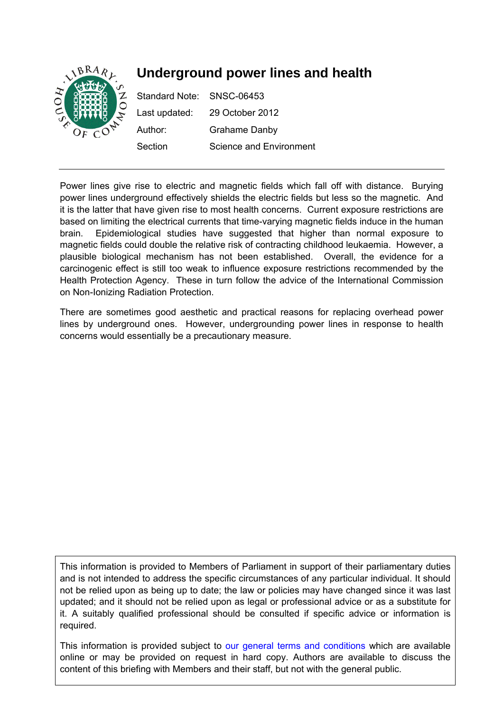

# **Underground power lines and health**

Standard Note: SNSC-06453 Last updated: 29 October 2012 Author: Grahame Danby Section Science and Environment

Power lines give rise to electric and magnetic fields which fall off with distance. Burying power lines underground effectively shields the electric fields but less so the magnetic. And it is the latter that have given rise to most health concerns. Current exposure restrictions are based on limiting the electrical currents that time-varying magnetic fields induce in the human brain. Epidemiological studies have suggested that higher than normal exposure to magnetic fields could double the relative risk of contracting childhood leukaemia. However, a plausible biological mechanism has not been established. Overall, the evidence for a carcinogenic effect is still too weak to influence exposure restrictions recommended by the Health Protection Agency. These in turn follow the advice of the International Commission on Non-Ionizing Radiation Protection.

There are sometimes good aesthetic and practical reasons for replacing overhead power lines by underground ones. However, undergrounding power lines in response to health concerns would essentially be a precautionary measure.

This information is provided to Members of Parliament in support of their parliamentary duties and is not intended to address the specific circumstances of any particular individual. It should not be relied upon as being up to date; the law or policies may have changed since it was last updated; and it should not be relied upon as legal or professional advice or as a substitute for it. A suitably qualified professional should be consulted if specific advice or information is required.

This information is provided subject to [our general terms and conditions](http://www.parliament.uk/site_information/parliamentary_copyright.cfm) which are available online or may be provided on request in hard copy. Authors are available to discuss the content of this briefing with Members and their staff, but not with the general public.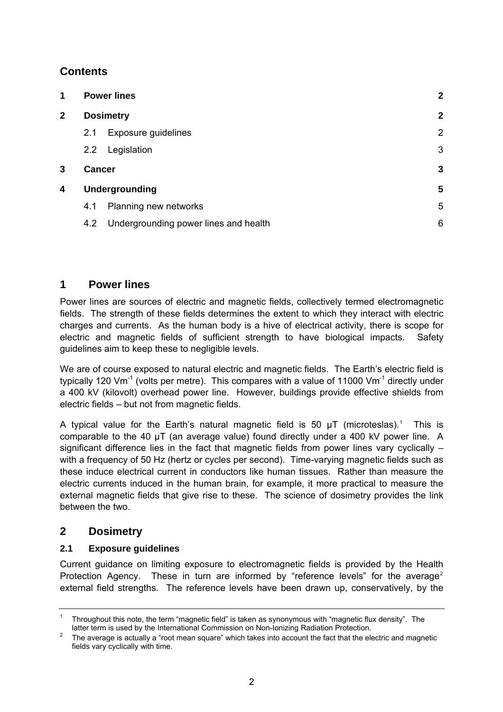# <span id="page-1-0"></span>**Contents**

| 1            | <b>Power lines</b><br><b>Dosimetry</b> |                                       | $\overline{2}$ |
|--------------|----------------------------------------|---------------------------------------|----------------|
| $\mathbf{2}$ |                                        |                                       | $\overline{2}$ |
|              | 2.1                                    | Exposure guidelines                   | $\overline{2}$ |
|              | 2.2                                    | Legislation                           | 3              |
| 3            | <b>Cancer</b>                          |                                       | 3              |
| 4            | <b>Undergrounding</b>                  |                                       | 5              |
|              | 4.1                                    | Planning new networks                 | 5              |
|              | 4.2                                    | Undergrounding power lines and health | 6              |

## **1 Power lines**

Power lines are sources of electric and magnetic fields, collectively termed electromagnetic fields. The strength of these fields determines the extent to which they interact with electric charges and currents. As the human body is a hive of electrical activity, there is scope for electric and magnetic fields of sufficient strength to have biological impacts. Safety guidelines aim to keep these to negligible levels.

We are of course exposed to natural electric and magnetic fields. The Earth's electric field is typically 120 Vm<sup>-1</sup> (volts per metre). This compares with a value of 11000 Vm<sup>-1</sup> directly under a 400 kV (kilovolt) overhead power line. However, buildings provide effective shields from electric fields – but not from magnetic fields.

A typical value for the Earth's natural magnetic field is 50  $\mu$ T (microteslas).<sup>[1](#page-1-1)</sup> This is comparable to the 40 µT (an average value) found directly under a 400 kV power line. A significant difference lies in the fact that magnetic fields from power lines vary cyclically – with a frequency of 50 Hz (hertz or cycles per second). Time-varying magnetic fields such as these induce electrical current in conductors like human tissues. Rather than measure the electric currents induced in the human brain, for example, it more practical to measure the external magnetic fields that give rise to these. The science of dosimetry provides the link between the two.

## **2 Dosimetry**

## **2.1 Exposure guidelines**

Current guidance on limiting exposure to electromagnetic fields is provided by the Health Protection Agency. These in turn are informed by "reference levels" for the average<sup>[2](#page-1-2)</sup> external field strengths. The reference levels have been drawn up, conservatively, by the

<span id="page-1-1"></span><sup>1</sup> Throughout this note, the term "magnetic field" is taken as synonymous with "magnetic flux density". The latter term is used by the International Commission on Non-Ionizing Radiation Protection.

<span id="page-1-2"></span>The average is actually a "root mean square" which takes into account the fact that the electric and magnetic fields vary cyclically with time.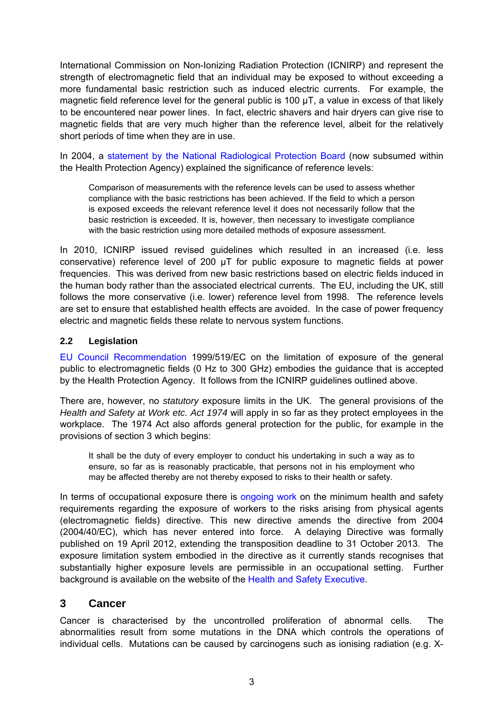<span id="page-2-0"></span>International Commission on Non-Ionizing Radiation Protection (ICNIRP) and represent the strength of electromagnetic field that an individual may be exposed to without exceeding a more fundamental basic restriction such as induced electric currents. For example, the magnetic field reference level for the general public is 100 µT, a value in excess of that likely to be encountered near power lines. In fact, electric shavers and hair dryers can give rise to magnetic fields that are very much higher than the reference level, albeit for the relatively short periods of time when they are in use.

In 2004, a [statement by the National Radiological Protection Board](http://www.hpa.org.uk/web/HPAweb&HPAwebStandard/HPAweb_C/1254510609795) (now subsumed within the Health Protection Agency) explained the significance of reference levels:

Comparison of measurements with the reference levels can be used to assess whether compliance with the basic restrictions has been achieved. If the field to which a person is exposed exceeds the relevant reference level it does not necessarily follow that the basic restriction is exceeded. It is, however, then necessary to investigate compliance with the basic restriction using more detailed methods of exposure assessment.

In 2010, ICNIRP issued revised guidelines which resulted in an increased (i.e. less conservative) reference level of 200 µT for public exposure to magnetic fields at power frequencies. This was derived from new basic restrictions based on electric fields induced in the human body rather than the associated electrical currents. The EU, including the UK, still follows the more conservative (i.e. lower) reference level from 1998. The reference levels are set to ensure that established health effects are avoided. In the case of power frequency electric and magnetic fields these relate to nervous system functions.

#### **2.2 Legislation**

[EU Council Recommendation](http://ec.europa.eu/enterprise/sectors/electrical/files/lv/rec519_en.pdf) 1999/519/EC on the limitation of exposure of the general public to electromagnetic fields (0 Hz to 300 GHz) embodies the guidance that is accepted by the Health Protection Agency. It follows from the ICNIRP guidelines outlined above.

There are, however, no *statutory* exposure limits in the UK. The general provisions of the *Health and Safety at Work etc. Act 1974* will apply in so far as they protect employees in the workplace. The 1974 Act also affords general protection for the public, for example in the provisions of section 3 which begins:

It shall be the duty of every employer to conduct his undertaking in such a way as to ensure, so far as is reasonably practicable, that persons not in his employment who may be affected thereby are not thereby exposed to risks to their health or safety.

In terms of occupational exposure there is [ongoing work](http://www.europarl.europa.eu/oeil/popups/ficheprocedure.do?id=592869) on the minimum health and safety requirements regarding the exposure of workers to the risks arising from physical agents (electromagnetic fields) directive. This new directive amends the directive from 2004 (2004/40/EC), which has never entered into force. A delaying Directive was formally published on 19 April 2012, extending the transposition deadline to 31 October 2013. The exposure limitation system embodied in the directive as it currently stands recognises that substantially higher exposure levels are permissible in an occupational setting. Further background is available on the website of the [Health and Safety Executive.](http://www.hse.gov.uk/aboutus/europe/euronews/dossiers/emf-directive.htm)

## **3 Cancer**

Cancer is characterised by the uncontrolled proliferation of abnormal cells. The abnormalities result from some mutations in the DNA which controls the operations of individual cells. Mutations can be caused by carcinogens such as ionising radiation (e.g. X-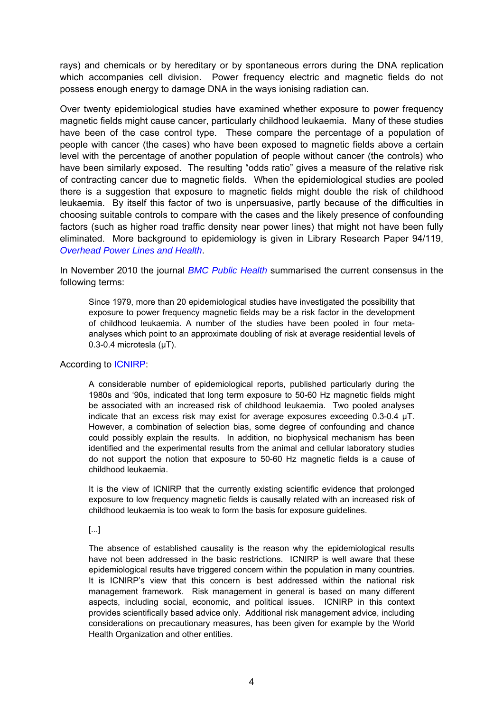rays) and chemicals or by hereditary or by spontaneous errors during the DNA replication which accompanies cell division. Power frequency electric and magnetic fields do not possess enough energy to damage DNA in the ways ionising radiation can.

Over twenty epidemiological studies have examined whether exposure to power frequency magnetic fields might cause cancer, particularly childhood leukaemia. Many of these studies have been of the case control type. These compare the percentage of a population of people with cancer (the cases) who have been exposed to magnetic fields above a certain level with the percentage of another population of people without cancer (the controls) who have been similarly exposed. The resulting "odds ratio" gives a measure of the relative risk of contracting cancer due to magnetic fields. When the epidemiological studies are pooled there is a suggestion that exposure to magnetic fields might double the risk of childhood leukaemia. By itself this factor of two is unpersuasive, partly because of the difficulties in choosing suitable controls to compare with the cases and the likely presence of confounding factors (such as higher road traffic density near power lines) that might not have been fully eliminated. More background to epidemiology is given in Library Research Paper 94/119, *[Overhead Power Lines and Health](http://www.parliament.uk/briefing-papers/RP94-119)*.

In November 2010 the journal *[BMC Public Health](http://www.biomedcentral.com/1471-2458/10/673#B65)* summarised the current consensus in the following terms:

Since 1979, more than 20 epidemiological studies have investigated the possibility that exposure to power frequency magnetic fields may be a risk factor in the development of childhood leukaemia. A number of the studies have been pooled in four metaanalyses which point to an approximate doubling of risk at average residential levels of 0.3-0.4 microtesla (μT).

#### According to [ICNIRP](http://www.icnirp.de/documents/FactSheetLF.pdf):

A considerable number of epidemiological reports, published particularly during the 1980s and '90s, indicated that long term exposure to 50-60 Hz magnetic fields might be associated with an increased risk of childhood leukaemia. Two pooled analyses indicate that an excess risk may exist for average exposures exceeding 0.3-0.4 µT. However, a combination of selection bias, some degree of confounding and chance could possibly explain the results. In addition, no biophysical mechanism has been identified and the experimental results from the animal and cellular laboratory studies do not support the notion that exposure to 50-60 Hz magnetic fields is a cause of childhood leukaemia.

It is the view of ICNIRP that the currently existing scientific evidence that prolonged exposure to low frequency magnetic fields is causally related with an increased risk of childhood leukaemia is too weak to form the basis for exposure guidelines.

#### [...]

The absence of established causality is the reason why the epidemiological results have not been addressed in the basic restrictions. ICNIRP is well aware that these epidemiological results have triggered concern within the population in many countries. It is ICNIRP's view that this concern is best addressed within the national risk management framework. Risk management in general is based on many different aspects, including social, economic, and political issues. ICNIRP in this context provides scientifically based advice only. Additional risk management advice, including considerations on precautionary measures, has been given for example by the World Health Organization and other entities.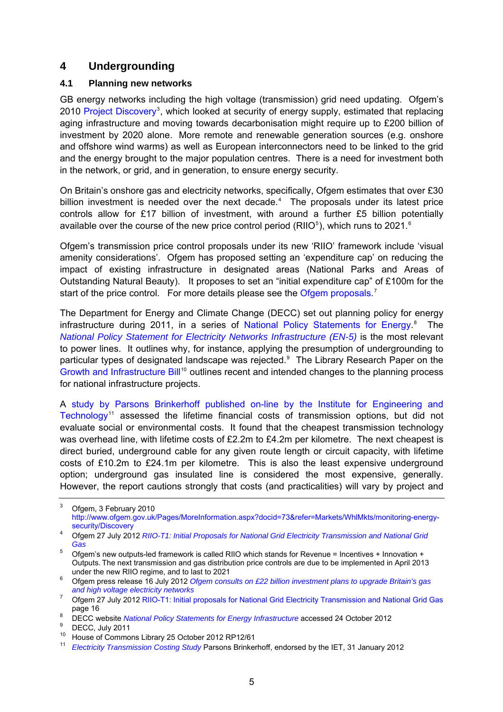## <span id="page-4-0"></span>**4 Undergrounding**

## **4.1 Planning new networks**

GB energy networks including the high voltage (transmission) grid need updating. Ofgem's 2010 [Project Discovery](http://www.ofgem.gov.uk/Pages/MoreInformation.aspx?docid=73&refer=Markets/WhlMkts/monitoring-energy-security/Discovery)<sup>[3](#page-4-1)</sup>, which looked at security of energy supply, estimated that replacing aging infrastructure and moving towards decarbonisation might require up to £200 billion of investment by 2020 alone. More remote and renewable generation sources (e.g. onshore and offshore wind warms) as well as European interconnectors need to be linked to the grid and the energy brought to the major population centres. There is a need for investment both in the network, or grid, and in generation, to ensure energy security.

On Britain's onshore gas and electricity networks, specifically, Ofgem estimates that over £30 billion investment is needed over the next decade.<sup>[4](#page-4-2)</sup> The proposals under its latest price controls allow for £17 billion of investment, with around a further £5 billion potentially available over the course of the new price control period (RIIO<sup>[5](#page-4-3)</sup>), which runs to 2021.<sup>[6](#page-4-4)</sup>

Ofgem's transmission price control proposals under its new 'RIIO' framework include 'visual amenity considerations'. Ofgem has proposed setting an 'expenditure cap' on reducing the impact of existing infrastructure in designated areas (National Parks and Areas of Outstanding Natural Beauty). It proposes to set an "initial expenditure cap" of £100m for the start of the price control. For more details please see the [Ofgem proposals.](http://www.ofgem.gov.uk/Networks/Trans/PriceControls/RIIO-T1/ConRes/Documents1/RIIO%20T1%20Initial%20Proposals%20for%20NGGT%20and%20NGET%20Overview%202707212.pdf)<sup>[7](#page-4-5)</sup>

The Department for Energy and Climate Change (DECC) set out planning policy for energy infrastructure during 2011, in a series of [National Policy Statements for Energy](http://www.decc.gov.uk/en/content/cms/meeting_energy/consents_planning/nps_en_infra/nps_en_infra.aspx).<sup>[8](#page-4-6)</sup> The *[National Policy Statement for Electricity Networks Infrastructure \(EN-5\)](http://www.official-documents.gov.uk/document/other/9780108510816/9780108510816.pdf)* is the most relevant to power lines. It outlines why, for instance, applying the presumption of undergrounding to particular types of designated landscape was rejected.<sup>[9](#page-4-7)</sup> The Library Research Paper on the [Growth and Infrastructure Bill](http://www.parliament.uk/briefing-papers/RP12-61)<sup>[10](#page-4-8)</sup> outlines recent and intended changes to the planning process for national infrastructure projects.

A [study by Parsons Brinkerhoff published on-line by the Institute for Engineering and](http://www.theiet.org/factfiles/transmission.cfm)  [Technology](http://www.theiet.org/factfiles/transmission.cfm)<sup>[11](#page-4-9)</sup> assessed the lifetime financial costs of transmission options, but did not evaluate social or environmental costs. It found that the cheapest transmission technology was overhead line, with lifetime costs of £2.2m to £4.2m per kilometre. The next cheapest is direct buried, underground cable for any given route length or circuit capacity, with lifetime costs of £10.2m to £24.1m per kilometre. This is also the least expensive underground option; underground gas insulated line is considered the most expensive, generally. However, the report cautions strongly that costs (and practicalities) will vary by project and

<span id="page-4-1"></span><sup>3</sup> Ofgem, 3 February 2010 [http://www.ofgem.gov.uk/Pages/MoreInformation.aspx?docid=73&refer=Markets/WhlMkts/monitoring-energy](http://www.ofgem.gov.uk/Pages/MoreInformation.aspx?docid=73&refer=Markets/WhlMkts/monitoring-energy-security/Discovery)[security/Discovery](http://www.ofgem.gov.uk/Pages/MoreInformation.aspx?docid=73&refer=Markets/WhlMkts/monitoring-energy-security/Discovery) 4 Ofgem 27 July 2012 *[RIIO-T1: Initial Proposals for National Grid Electricity Transmission and National Grid](http://www.ofgem.gov.uk/Networks/Trans/PriceControls/RIIO-T1/ConRes/Documents1/RIIO%20T1%20Initial%20Proposals%20for%20NGGT%20and%20NGET%20Overview%202707212.pdf)* 

<span id="page-4-2"></span>*[Gas](http://www.ofgem.gov.uk/Networks/Trans/PriceControls/RIIO-T1/ConRes/Documents1/RIIO%20T1%20Initial%20Proposals%20for%20NGGT%20and%20NGET%20Overview%202707212.pdf)*

<span id="page-4-3"></span><sup>&</sup>lt;sup>5</sup> Ofgem's new outputs-led framework is called RIIO which stands for Revenue = Incentives + Innovation + Outputs. The next transmission and gas distribution price controls are due to be implemented in April 2013

<span id="page-4-4"></span>under the new RIIO regime, and to last to 2021 6 Ofgem press release 16 July 2012 *[Ofgem consults on £22 billion investment plans to upgrade Britain's gas](http://www.ofgem.gov.uk/Media/PressRel/Documents1/20120716_RIIO_Press_Release.pdf)  and high voltage electricity networks*7

<span id="page-4-5"></span>Ofgem 27 July 2012 [RIIO-T1: Initial proposals for National Grid Electricity Transmission and National Grid Gas](http://www.ofgem.gov.uk/Networks/Trans/PriceControls/RIIO-T1/ConRes/Documents1/RIIO%20T1%20Initial%20Proposals%20for%20NGGT%20and%20NGET%20Overview%202707212.pdf) page  $16 \text{ }$  8  $p = 22$ 

<span id="page-4-7"></span><span id="page-4-6"></span><sup>&</sup>lt;sup>8</sup> DECC website *National Policy Statements for Energy Infrastructure* accessed 24 October 2012

DECC, July 2011

<span id="page-4-8"></span><sup>10</sup> House of Commons Library 25 October 2012 RP12/61

<span id="page-4-9"></span><sup>11</sup> *[Electricity Transmission Costing Study](http://www.theiet.org/factfiles/transmission-report.cfm)* Parsons Brinkerhoff, endorsed by the IET, 31 January 2012